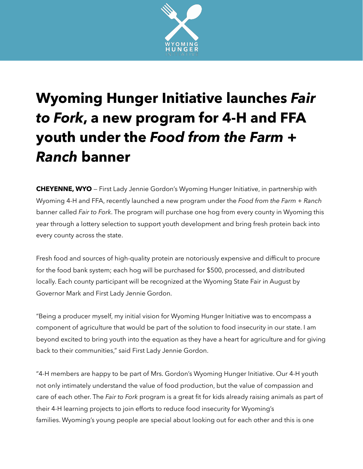

## **Wyoming Hunger Initiative launches** *Fair to Fork***, a new program for 4-H and FFA youth under the** *Food from the Farm + Ranch* **banner**

**CHEYENNE, WYO** — First Lady Jennie Gordon's Wyoming Hunger Initiative, in partnership with Wyoming 4-H and FFA, recently launched a new program under the *Food from the Farm + Ranch* banner called *Fair to Fork*. The program will purchase one hog from every county in Wyoming this year through a lottery selection to support youth development and bring fresh protein back into every county across the state.

Fresh food and sources of high-quality protein are notoriously expensive and difficult to procure for the food bank system; each hog will be purchased for \$500, processed, and distributed locally. Each county participant will be recognized at the Wyoming State Fair in August by Governor Mark and First Lady Jennie Gordon.

"Being a producer myself, my initial vision for Wyoming Hunger Initiative was to encompass a component of agriculture that would be part of the solution to food insecurity in our state. I am beyond excited to bring youth into the equation as they have a heart for agriculture and for giving back to their communities," said First Lady Jennie Gordon.

"4-H members are happy to be part of Mrs. Gordon's Wyoming Hunger Initiative. Our 4-H youth not only intimately understand the value of food production, but the value of compassion and care of each other. The *Fair to Fork* program is a great fit for kids already raising animals as part of their 4-H learning projects to join efforts to reduce food insecurity for Wyoming's families. Wyoming's young people are special about looking out for each other and this is one